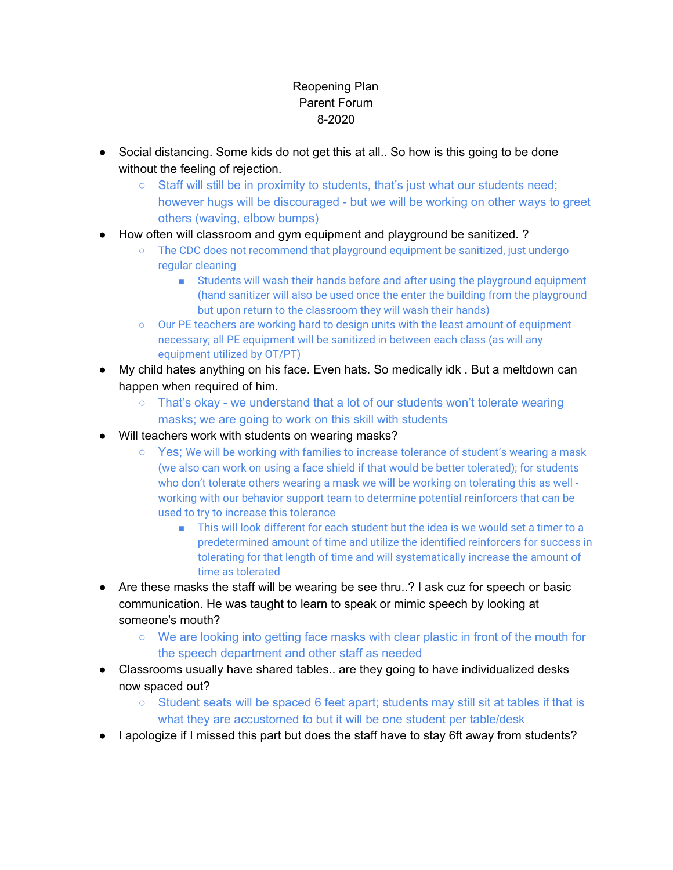## Reopening Plan Parent Forum 8-2020

- Social distancing. Some kids do not get this at all.. So how is this going to be done without the feeling of rejection.
	- $\circ$  Staff will still be in proximity to students, that's just what our students need; however hugs will be discouraged - but we will be working on other ways to greet others (waving, elbow bumps)
- How often will classroom and gym equipment and playground be sanitized. ?
	- The CDC does not recommend that playground equipment be sanitized, just undergo regular cleaning
		- Students will wash their hands before and after using the playground equipment (hand sanitizer will also be used once the enter the building from the playground but upon return to the classroom they will wash their hands)
	- Our PE teachers are working hard to design units with the least amount of equipment necessary; all PE equipment will be sanitized in between each class (as will any equipment utilized by OT/PT)
- My child hates anything on his face. Even hats. So medically idk . But a meltdown can happen when required of him.
	- $\circ$  That's okay we understand that a lot of our students won't tolerate wearing masks; we are going to work on this skill with students
- Will teachers work with students on wearing masks?
	- Yes; We will be working with families to increase tolerance of student's wearing a mask (we also can work on using a face shield if that would be better tolerated); for students who don't tolerate others wearing a mask we will be working on tolerating this as well working with our behavior support team to determine potential reinforcers that can be used to try to increase this tolerance
		- This will look different for each student but the idea is we would set a timer to a predetermined amount of time and utilize the identified reinforcers for success in tolerating for that length of time and will systematically increase the amount of time as tolerated
- Are these masks the staff will be wearing be see thru..? I ask cuz for speech or basic communication. He was taught to learn to speak or mimic speech by looking at someone's mouth?
	- We are looking into getting face masks with clear plastic in front of the mouth for the speech department and other staff as needed
- Classrooms usually have shared tables.. are they going to have individualized desks now spaced out?
	- Student seats will be spaced 6 feet apart; students may still sit at tables if that is what they are accustomed to but it will be one student per table/desk
- I apologize if I missed this part but does the staff have to stay 6ft away from students?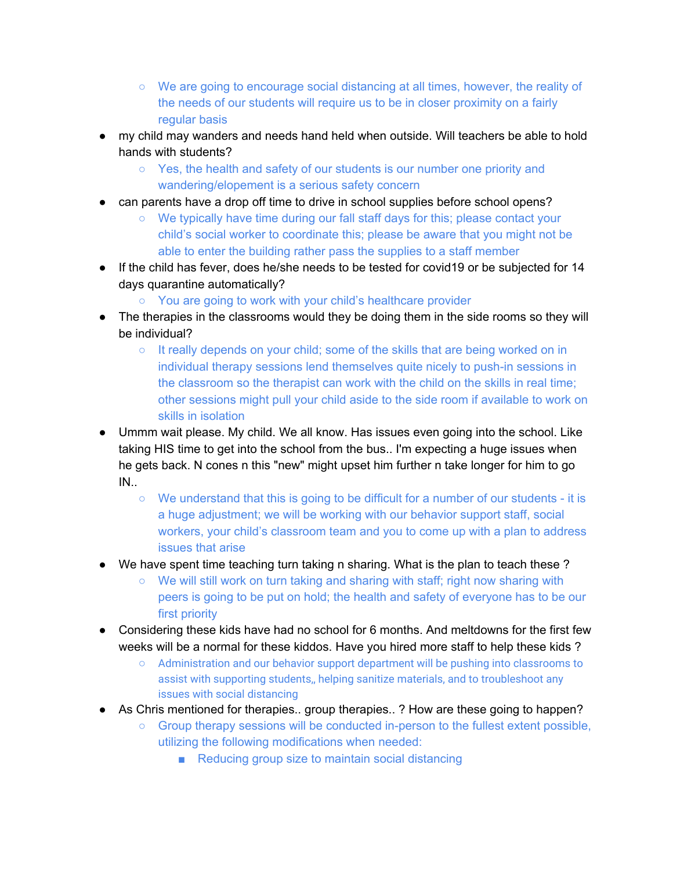- We are going to encourage social distancing at all times, however, the reality of the needs of our students will require us to be in closer proximity on a fairly regular basis
- my child may wanders and needs hand held when outside. Will teachers be able to hold hands with students?
	- Yes, the health and safety of our students is our number one priority and wandering/elopement is a serious safety concern
- can parents have a drop off time to drive in school supplies before school opens?
	- We typically have time during our fall staff days for this; please contact your child's social worker to coordinate this; please be aware that you might not be able to enter the building rather pass the supplies to a staff member
- If the child has fever, does he/she needs to be tested for covid19 or be subjected for 14 days quarantine automatically?
	- You are going to work with your child's healthcare provider
- The therapies in the classrooms would they be doing them in the side rooms so they will be individual?
	- It really depends on your child; some of the skills that are being worked on in individual therapy sessions lend themselves quite nicely to push-in sessions in the classroom so the therapist can work with the child on the skills in real time; other sessions might pull your child aside to the side room if available to work on skills in isolation
- Ummm wait please. My child. We all know. Has issues even going into the school. Like taking HIS time to get into the school from the bus.. I'm expecting a huge issues when he gets back. N cones n this "new" might upset him further n take longer for him to go IN..
	- We understand that this is going to be difficult for a number of our students it is a huge adjustment; we will be working with our behavior support staff, social workers, your child's classroom team and you to come up with a plan to address issues that arise
- We have spent time teaching turn taking n sharing. What is the plan to teach these?
	- $\circ$  We will still work on turn taking and sharing with staff; right now sharing with peers is going to be put on hold; the health and safety of everyone has to be our first priority
- Considering these kids have had no school for 6 months. And meltdowns for the first few weeks will be a normal for these kiddos. Have you hired more staff to help these kids ?
	- Administration and our behavior support department will be pushing into classrooms to assist with supporting students,, helping sanitize materials, and to troubleshoot any issues with social distancing
- As Chris mentioned for therapies.. group therapies.. ? How are these going to happen?
	- $\circ$  Group therapy sessions will be conducted in-person to the fullest extent possible, utilizing the following modifications when needed:
		- Reducing group size to maintain social distancing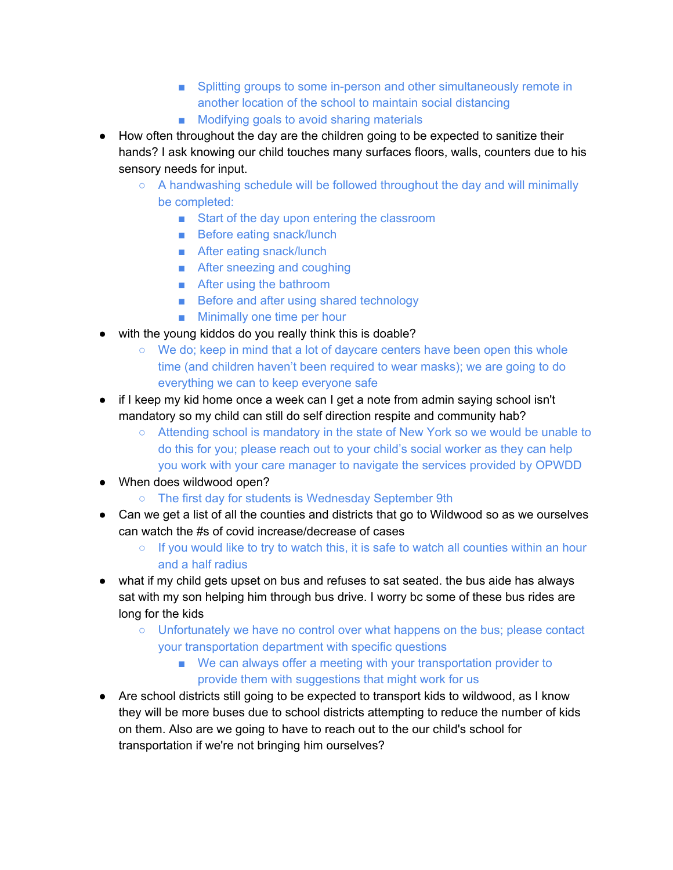- Splitting groups to some in-person and other simultaneously remote in another location of the school to maintain social distancing
- Modifying goals to avoid sharing materials
- How often throughout the day are the children going to be expected to sanitize their hands? I ask knowing our child touches many surfaces floors, walls, counters due to his sensory needs for input.
	- $\circ$  A handwashing schedule will be followed throughout the day and will minimally be completed:
		- Start of the day upon entering the classroom
		- Before eating snack/lunch
		- After eating snack/lunch
		- After sneezing and coughing
		- After using the bathroom
		- Before and after using shared technology
		- Minimally one time per hour
- with the young kiddos do you really think this is doable?
	- We do; keep in mind that a lot of daycare centers have been open this whole time (and children haven't been required to wear masks); we are going to do everything we can to keep everyone safe
- if I keep my kid home once a week can I get a note from admin saying school isn't mandatory so my child can still do self direction respite and community hab?
	- Attending school is mandatory in the state of New York so we would be unable to do this for you; please reach out to your child's social worker as they can help you work with your care manager to navigate the services provided by OPWDD
- When does wildwood open?
	- The first day for students is Wednesday September 9th
- Can we get a list of all the counties and districts that go to Wildwood so as we ourselves can watch the #s of covid increase/decrease of cases
	- $\circ$  If you would like to try to watch this, it is safe to watch all counties within an hour and a half radius
- what if my child gets upset on bus and refuses to sat seated. the bus aide has always sat with my son helping him through bus drive. I worry bc some of these bus rides are long for the kids
	- $\circ$  Unfortunately we have no control over what happens on the bus; please contact your transportation department with specific questions
		- We can always offer a meeting with your transportation provider to provide them with suggestions that might work for us
- Are school districts still going to be expected to transport kids to wildwood, as I know they will be more buses due to school districts attempting to reduce the number of kids on them. Also are we going to have to reach out to the our child's school for transportation if we're not bringing him ourselves?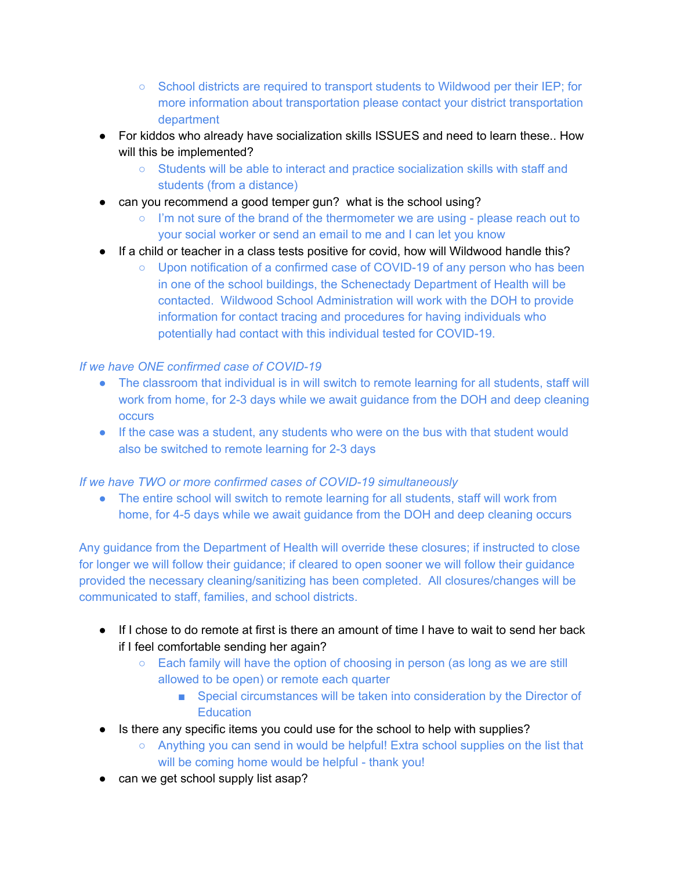- School districts are required to transport students to Wildwood per their IEP; for more information about transportation please contact your district transportation department
- For kiddos who already have socialization skills ISSUES and need to learn these.. How will this be implemented?
	- Students will be able to interact and practice socialization skills with staff and students (from a distance)
- can you recommend a good temper gun? what is the school using?
	- I'm not sure of the brand of the thermometer we are using please reach out to your social worker or send an email to me and I can let you know
- If a child or teacher in a class tests positive for covid, how will Wildwood handle this?
	- Upon notification of a confirmed case of COVID-19 of any person who has been in one of the school buildings, the Schenectady Department of Health will be contacted. Wildwood School Administration will work with the DOH to provide information for contact tracing and procedures for having individuals who potentially had contact with this individual tested for COVID-19.

## *If we have ONE confirmed case of COVID-19*

- The classroom that individual is in will switch to remote learning for all students, staff will work from home, for 2-3 days while we await guidance from the DOH and deep cleaning **occurs**
- If the case was a student, any students who were on the bus with that student would also be switched to remote learning for 2-3 days

## *If we have TWO or more confirmed cases of COVID-19 simultaneously*

• The entire school will switch to remote learning for all students, staff will work from home, for 4-5 days while we await guidance from the DOH and deep cleaning occurs

Any guidance from the Department of Health will override these closures; if instructed to close for longer we will follow their guidance; if cleared to open sooner we will follow their guidance provided the necessary cleaning/sanitizing has been completed. All closures/changes will be communicated to staff, families, and school districts.

- If I chose to do remote at first is there an amount of time I have to wait to send her back if I feel comfortable sending her again?
	- Each family will have the option of choosing in person (as long as we are still allowed to be open) or remote each quarter
		- Special circumstances will be taken into consideration by the Director of **Education**
- Is there any specific items you could use for the school to help with supplies?
	- Anything you can send in would be helpful! Extra school supplies on the list that will be coming home would be helpful - thank you!
- can we get school supply list asap?